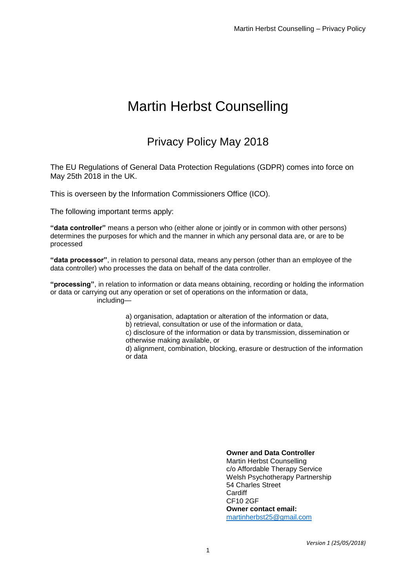# Martin Herbst Counselling

# Privacy Policy May 2018

The EU Regulations of General Data Protection Regulations (GDPR) comes into force on May 25th 2018 in the UK.

This is overseen by the Information Commissioners Office (ICO).

The following important terms apply:

**"data controller"** means a person who (either alone or jointly or in common with other persons) determines the purposes for which and the manner in which any personal data are, or are to be processed

**"data processor"**, in relation to personal data, means any person (other than an employee of the data controller) who processes the data on behalf of the data controller.

**"processing"**, in relation to information or data means obtaining, recording or holding the information or data or carrying out any operation or set of operations on the information or data, including—

a) organisation, adaptation or alteration of the information or data,

b) retrieval, consultation or use of the information or data,

c) disclosure of the information or data by transmission, dissemination or otherwise making available, or

d) alignment, combination, blocking, erasure or destruction of the information or data

#### **Owner and Data Controller**

Martin Herbst Counselling c/o Affordable Therapy Service Welsh Psychotherapy Partnership 54 Charles Street **Cardiff** CF10 2GF **Owner contact email:** [martinherbst25@gmail.com](mailto:martinherbst25@gmail.com)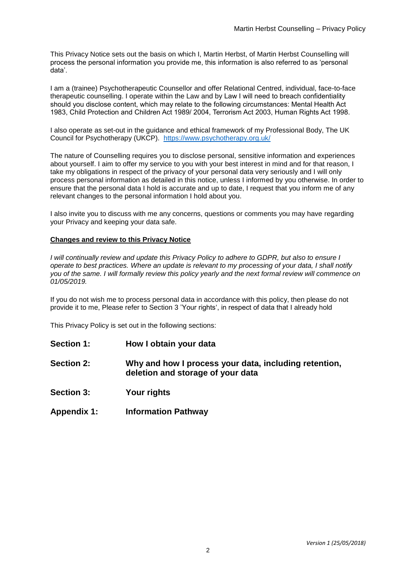This Privacy Notice sets out the basis on which I, Martin Herbst, of Martin Herbst Counselling will process the personal information you provide me, this information is also referred to as 'personal data'.

I am a (trainee) Psychotherapeutic Counsellor and offer Relational Centred, individual, face-to-face therapeutic counselling. I operate within the Law and by Law I will need to breach confidentiality should you disclose content, which may relate to the following circumstances: Mental Health Act 1983, Child Protection and Children Act 1989/ 2004, Terrorism Act 2003, Human Rights Act 1998.

I also operate as set-out in the guidance and ethical framework of my Professional Body, The UK Council for Psychotherapy (UKCP). <https://www.psychotherapy.org.uk/>

The nature of Counselling requires you to disclose personal, sensitive information and experiences about yourself. I aim to offer my service to you with your best interest in mind and for that reason, I take my obligations in respect of the privacy of your personal data very seriously and I will only process personal information as detailed in this notice, unless I informed by you otherwise. In order to ensure that the personal data I hold is accurate and up to date, I request that you inform me of any relevant changes to the personal information I hold about you.

I also invite you to discuss with me any concerns, questions or comments you may have regarding your Privacy and keeping your data safe.

#### **Changes and review to this Privacy Notice**

*I* will continually review and update this Privacy Policy to adhere to GDPR, but also to ensure I *operate to best practices. Where an update is relevant to my processing of your data, I shall notify you of the same. I will formally review this policy yearly and the next formal review will commence on 01/05/2019.*

If you do not wish me to process personal data in accordance with this policy, then please do not provide it to me, Please refer to Section 3 'Your rights', in respect of data that I already hold

This Privacy Policy is set out in the following sections:

- **Section 1: How I obtain your data**
- **Section 2: Why and how I process your data, including retention, deletion and storage of your data**
- **Section 3: Your rights**
- **Appendix 1: Information Pathway**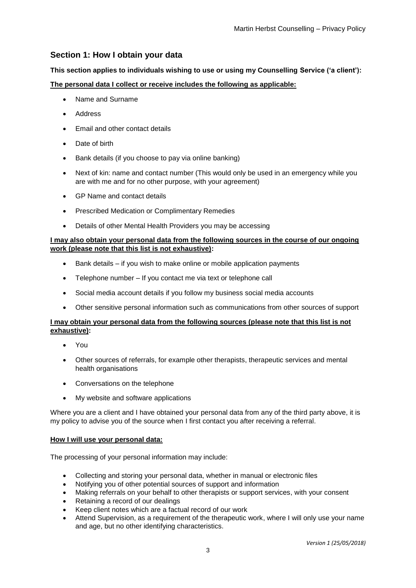# **Section 1: How I obtain your data**

#### **This section applies to individuals wishing to use or using my Counselling Service ('a client'):**

#### **The personal data I collect or receive includes the following as applicable:**

- Name and Surname
- Address
- **Email and other contact details**
- Date of birth
- Bank details (if you choose to pay via online banking)
- Next of kin: name and contact number (This would only be used in an emergency while you are with me and for no other purpose, with your agreement)
- GP Name and contact details
- **•** Prescribed Medication or Complimentary Remedies
- Details of other Mental Health Providers you may be accessing

#### **I may also obtain your personal data from the following sources in the course of our ongoing work (please note that this list is not exhaustive):**

- Bank details if you wish to make online or mobile application payments
- Telephone number If you contact me via text or telephone call
- Social media account details if you follow my business social media accounts
- Other sensitive personal information such as communications from other sources of support

#### **I may obtain your personal data from the following sources (please note that this list is not exhaustive):**

- You
- Other sources of referrals, for example other therapists, therapeutic services and mental health organisations
- Conversations on the telephone
- My website and software applications

Where you are a client and I have obtained your personal data from any of the third party above, it is my policy to advise you of the source when I first contact you after receiving a referral.

#### **How I will use your personal data:**

The processing of your personal information may include:

- Collecting and storing your personal data, whether in manual or electronic files
- Notifying you of other potential sources of support and information
- Making referrals on your behalf to other therapists or support services, with your consent
- Retaining a record of our dealings
- Keep client notes which are a factual record of our work
- Attend Supervision, as a requirement of the therapeutic work, where I will only use your name and age, but no other identifying characteristics.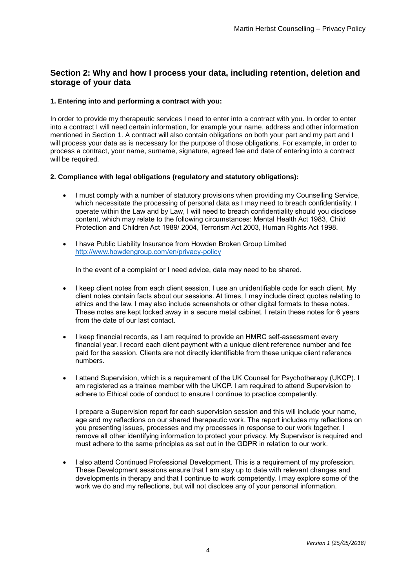## **Section 2: Why and how I process your data, including retention, deletion and storage of your data**

#### **1. Entering into and performing a contract with you:**

In order to provide my therapeutic services I need to enter into a contract with you. In order to enter into a contract I will need certain information, for example your name, address and other information mentioned in Section 1. A contract will also contain obligations on both your part and my part and I will process your data as is necessary for the purpose of those obligations. For example, in order to process a contract, your name, surname, signature, agreed fee and date of entering into a contract will be required.

#### **2. Compliance with legal obligations (regulatory and statutory obligations):**

- I must comply with a number of statutory provisions when providing my Counselling Service, which necessitate the processing of personal data as I may need to breach confidentiality. I operate within the Law and by Law, I will need to breach confidentiality should you disclose content, which may relate to the following circumstances: Mental Health Act 1983, Child Protection and Children Act 1989/ 2004, Terrorism Act 2003, Human Rights Act 1998.
- I have Public Liability Insurance from Howden Broken Group Limited <http://www.howdengroup.com/en/privacy-policy>

In the event of a complaint or I need advice, data may need to be shared.

- I keep client notes from each client session. I use an unidentifiable code for each client. My client notes contain facts about our sessions. At times, I may include direct quotes relating to ethics and the law. I may also include screenshots or other digital formats to these notes. These notes are kept locked away in a secure metal cabinet. I retain these notes for 6 years from the date of our last contact.
- I keep financial records, as I am required to provide an HMRC self-assessment every financial year. I record each client payment with a unique client reference number and fee paid for the session. Clients are not directly identifiable from these unique client reference numbers.
- I attend Supervision, which is a requirement of the UK Counsel for Psychotherapy (UKCP). I am registered as a trainee member with the UKCP. I am required to attend Supervision to adhere to Ethical code of conduct to ensure I continue to practice competently.

I prepare a Supervision report for each supervision session and this will include your name, age and my reflections on our shared therapeutic work. The report includes my reflections on you presenting issues, processes and my processes in response to our work together. I remove all other identifying information to protect your privacy. My Supervisor is required and must adhere to the same principles as set out in the GDPR in relation to our work.

 I also attend Continued Professional Development. This is a requirement of my profession. These Development sessions ensure that I am stay up to date with relevant changes and developments in therapy and that I continue to work competently. I may explore some of the work we do and my reflections, but will not disclose any of your personal information.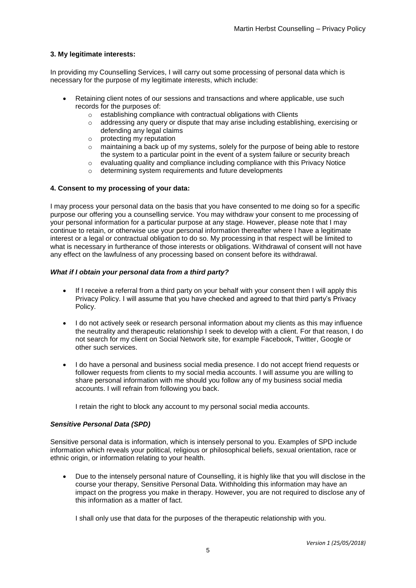#### **3. My legitimate interests:**

In providing my Counselling Services, I will carry out some processing of personal data which is necessary for the purpose of my legitimate interests, which include:

- Retaining client notes of our sessions and transactions and where applicable, use such records for the purposes of:
	- $\circ$  establishing compliance with contractual obligations with Clients
	- $\circ$  addressing any query or dispute that may arise including establishing, exercising or defending any legal claims
	- o protecting my reputation
	- $\circ$  maintaining a back up of my systems, solely for the purpose of being able to restore the system to a particular point in the event of a system failure or security breach
	- $\circ$  evaluating quality and compliance including compliance with this Privacy Notice
	- o determining system requirements and future developments

#### **4. Consent to my processing of your data:**

I may process your personal data on the basis that you have consented to me doing so for a specific purpose our offering you a counselling service. You may withdraw your consent to me processing of your personal information for a particular purpose at any stage. However, please note that I may continue to retain, or otherwise use your personal information thereafter where I have a legitimate interest or a legal or contractual obligation to do so. My processing in that respect will be limited to what is necessary in furtherance of those interests or obligations. Withdrawal of consent will not have any effect on the lawfulness of any processing based on consent before its withdrawal.

#### *What if I obtain your personal data from a third party?*

- If I receive a referral from a third party on your behalf with your consent then I will apply this Privacy Policy. I will assume that you have checked and agreed to that third party's Privacy Policy.
- I do not actively seek or research personal information about my clients as this may influence the neutrality and therapeutic relationship I seek to develop with a client. For that reason, I do not search for my client on Social Network site, for example Facebook, Twitter, Google or other such services.
- I do have a personal and business social media presence. I do not accept friend requests or follower requests from clients to my social media accounts. I will assume you are willing to share personal information with me should you follow any of my business social media accounts. I will refrain from following you back.

I retain the right to block any account to my personal social media accounts.

#### *Sensitive Personal Data (SPD)*

Sensitive personal data is information, which is intensely personal to you. Examples of SPD include information which reveals your political, religious or philosophical beliefs, sexual orientation, race or ethnic origin, or information relating to your health.

 Due to the intensely personal nature of Counselling, it is highly like that you will disclose in the course your therapy, Sensitive Personal Data. Withholding this information may have an impact on the progress you make in therapy. However, you are not required to disclose any of this information as a matter of fact.

I shall only use that data for the purposes of the therapeutic relationship with you.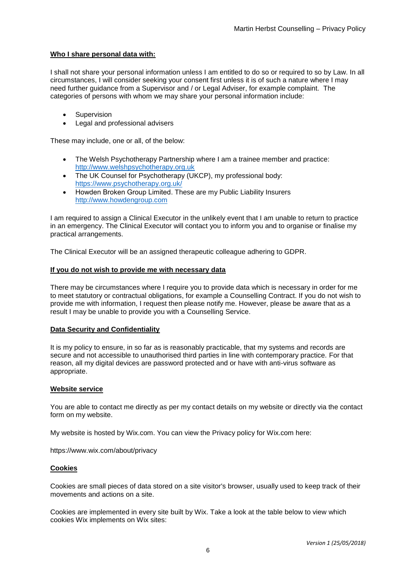#### **Who I share personal data with:**

I shall not share your personal information unless I am entitled to do so or required to so by Law. In all circumstances, I will consider seeking your consent first unless it is of such a nature where I may need further guidance from a Supervisor and / or Legal Adviser, for example complaint. The categories of persons with whom we may share your personal information include:

- **•** Supervision
- Legal and professional advisers

These may include, one or all, of the below:

- The Welsh Psychotherapy Partnership where I am a trainee member and practice: [http://www.welshpsychotherapy.org.uk](http://www.welshpsychotherapy.org.uk/)
- The UK Counsel for Psychotherapy (UKCP), my professional body: <https://www.psychotherapy.org.uk/>
- Howden Broken Group Limited. These are my Public Liability Insurers [http://www.howdengroup.com](http://www.howdengroup.com/)

I am required to assign a Clinical Executor in the unlikely event that I am unable to return to practice in an emergency. The Clinical Executor will contact you to inform you and to organise or finalise my practical arrangements.

The Clinical Executor will be an assigned therapeutic colleague adhering to GDPR.

#### **If you do not wish to provide me with necessary data**

There may be circumstances where I require you to provide data which is necessary in order for me to meet statutory or contractual obligations, for example a Counselling Contract. If you do not wish to provide me with information, I request then please notify me. However, please be aware that as a result I may be unable to provide you with a Counselling Service.

#### **Data Security and Confidentiality**

It is my policy to ensure, in so far as is reasonably practicable, that my systems and records are secure and not accessible to unauthorised third parties in line with contemporary practice. For that reason, all my digital devices are password protected and or have with anti-virus software as appropriate.

#### **Website service**

You are able to contact me directly as per my contact details on my website or directly via the contact form on my website.

My website is hosted by Wix.com. You can view the Privacy policy for Wix.com here:

https://www.wix.com/about/privacy

#### **Cookies**

Cookies are small pieces of data stored on a site visitor's browser, usually used to keep track of their movements and actions on a site.

Cookies are implemented in every site built by Wix. Take a look at the table below to view which cookies Wix implements on Wix sites: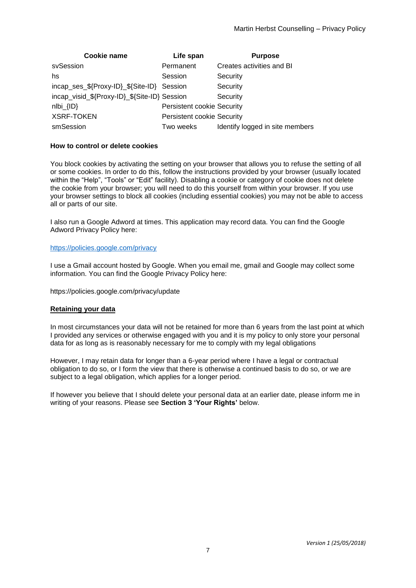| Cookie name                                  | Life span                         | <b>Purpose</b>                  |
|----------------------------------------------|-----------------------------------|---------------------------------|
| svSession                                    | Permanent                         | Creates activities and BI       |
| hs                                           | Session                           | Security                        |
| incap_ses_\${Proxy-ID}_\${Site-ID} Session   |                                   | Security                        |
| incap_visid_\${Proxy-ID}_\${Site-ID} Session |                                   | Security                        |
| $nIbi_{I}$ $I.D$                             | <b>Persistent cookie Security</b> |                                 |
| <b>XSRF-TOKEN</b>                            | <b>Persistent cookie Security</b> |                                 |
| smSession                                    | Two weeks                         | Identify logged in site members |

#### **How to control or delete cookies**

You block cookies by activating the setting on your browser that allows you to refuse the setting of all or some cookies. In order to do this, follow the instructions provided by your browser (usually located within the "Help", "Tools" or "Edit" facility). Disabling a cookie or category of cookie does not delete the cookie from your browser; you will need to do this yourself from within your browser. If you use your browser settings to block all cookies (including essential cookies) you may not be able to access all or parts of our site.

I also run a Google Adword at times. This application may record data. You can find the Google Adword Privacy Policy here:

#### <https://policies.google.com/privacy>

I use a Gmail account hosted by Google. When you email me, gmail and Google may collect some information. You can find the Google Privacy Policy here:

https://policies.google.com/privacy/update

#### **Retaining your data**

In most circumstances your data will not be retained for more than 6 years from the last point at which I provided any services or otherwise engaged with you and it is my policy to only store your personal data for as long as is reasonably necessary for me to comply with my legal obligations

However, I may retain data for longer than a 6-year period where I have a legal or contractual obligation to do so, or I form the view that there is otherwise a continued basis to do so, or we are subject to a legal obligation, which applies for a longer period.

If however you believe that I should delete your personal data at an earlier date, please inform me in writing of your reasons. Please see **Section 3 'Your Rights'** below.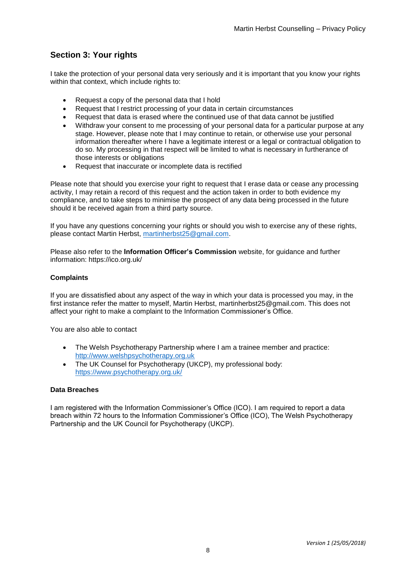# **Section 3: Your rights**

I take the protection of your personal data very seriously and it is important that you know your rights within that context, which include rights to:

- Request a copy of the personal data that I hold
- Request that I restrict processing of your data in certain circumstances
- Request that data is erased where the continued use of that data cannot be justified
- Withdraw your consent to me processing of your personal data for a particular purpose at any stage. However, please note that I may continue to retain, or otherwise use your personal information thereafter where I have a legitimate interest or a legal or contractual obligation to do so. My processing in that respect will be limited to what is necessary in furtherance of those interests or obligations
- Request that inaccurate or incomplete data is rectified

Please note that should you exercise your right to request that I erase data or cease any processing activity, I may retain a record of this request and the action taken in order to both evidence my compliance, and to take steps to minimise the prospect of any data being processed in the future should it be received again from a third party source.

If you have any questions concerning your rights or should you wish to exercise any of these rights, please contact Martin Herbst, [martinherbst25@gmail.com.](mailto:martinherbst25@gmail.com)

Please also refer to the **Information Officer's Commission** website, for guidance and further information: https://ico.org.uk/

### **Complaints**

If you are dissatisfied about any aspect of the way in which your data is processed you may, in the first instance refer the matter to myself, Martin Herbst, martinherbst25@gmail.com. This does not affect your right to make a complaint to the Information Commissioner's Office.

You are also able to contact

- The Welsh Psychotherapy Partnership where I am a trainee member and practice: [http://www.welshpsychotherapy.org.uk](http://www.welshpsychotherapy.org.uk/)
- The UK Counsel for Psychotherapy (UKCP), my professional body: <https://www.psychotherapy.org.uk/>

#### **Data Breaches**

I am registered with the Information Commissioner's Office (ICO). I am required to report a data breach within 72 hours to the Information Commissioner's Office (ICO), The Welsh Psychotherapy Partnership and the UK Council for Psychotherapy (UKCP).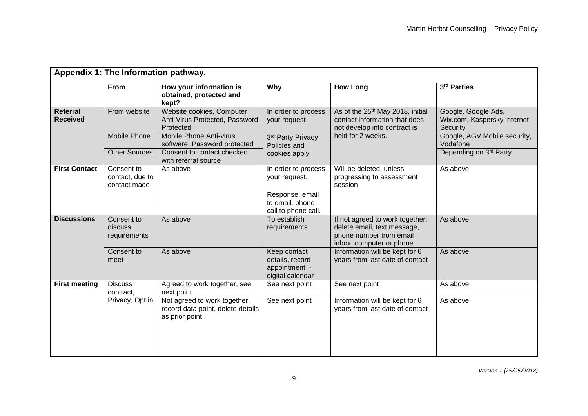| Appendix 1: The Information pathway. |                                                |                                                                                     |                                                                                           |                                                                                                                                    |                                                                |  |  |
|--------------------------------------|------------------------------------------------|-------------------------------------------------------------------------------------|-------------------------------------------------------------------------------------------|------------------------------------------------------------------------------------------------------------------------------------|----------------------------------------------------------------|--|--|
|                                      | <b>From</b>                                    | How your information is<br>obtained, protected and<br>kept?                         | Why                                                                                       | <b>How Long</b>                                                                                                                    | 3rd Parties                                                    |  |  |
| Referral<br><b>Received</b>          | From website                                   | Website cookies, Computer<br>Anti-Virus Protected, Password<br>Protected            | In order to process<br>your request<br>3rd Party Privacy<br>Policies and<br>cookies apply | As of the 25 <sup>th</sup> May 2018, initial<br>contact information that does<br>not develop into contract is<br>held for 2 weeks. | Google, Google Ads,<br>Wix.com, Kaspersky Internet<br>Security |  |  |
|                                      | Mobile Phone                                   | Mobile Phone Anti-virus<br>software, Password protected                             |                                                                                           |                                                                                                                                    | Google, AGV Mobile security,<br>Vodafone                       |  |  |
|                                      | <b>Other Sources</b>                           | Consent to contact checked<br>with referral source                                  |                                                                                           |                                                                                                                                    | Depending on 3rd Party                                         |  |  |
| <b>First Contact</b>                 | Consent to<br>contact, due to<br>contact made  | As above                                                                            | In order to process<br>your request.<br>Response: email                                   | Will be deleted, unless<br>progressing to assessment<br>session                                                                    | As above                                                       |  |  |
|                                      |                                                |                                                                                     | to email, phone<br>call to phone call.                                                    |                                                                                                                                    |                                                                |  |  |
| <b>Discussions</b>                   | Consent to<br>discuss<br>requirements          | As above                                                                            | To establish<br>requirements                                                              | If not agreed to work together:<br>delete email, text message,<br>phone number from email<br>inbox, computer or phone              | As above                                                       |  |  |
|                                      | Consent to<br>meet                             | As above                                                                            | Keep contact<br>details, record<br>appointment -<br>digital calendar                      | Information will be kept for 6<br>years from last date of contact                                                                  | As above                                                       |  |  |
| <b>First meeting</b>                 | <b>Discuss</b><br>contract,<br>Privacy, Opt in | Agreed to work together, see<br>next point                                          | See next point                                                                            | See next point                                                                                                                     | As above                                                       |  |  |
|                                      |                                                | Not agreed to work together,<br>record data point, delete details<br>as prior point | See next point                                                                            | Information will be kept for 6<br>years from last date of contact                                                                  | As above                                                       |  |  |
|                                      |                                                |                                                                                     |                                                                                           |                                                                                                                                    |                                                                |  |  |